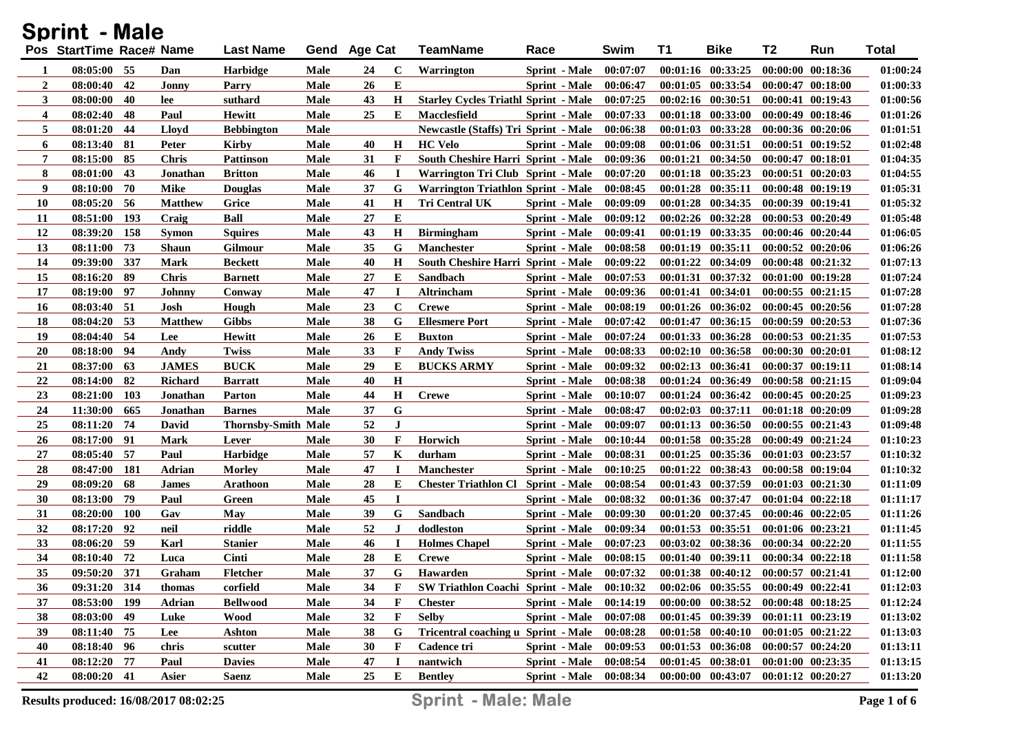| <b>Sprint - Male</b> |                          |            |                |                     |      |              |             |                                             |                        |          |          |                                             |                       |                       |          |
|----------------------|--------------------------|------------|----------------|---------------------|------|--------------|-------------|---------------------------------------------|------------------------|----------|----------|---------------------------------------------|-----------------------|-----------------------|----------|
|                      | Pos StartTime Race# Name |            |                | <b>Last Name</b>    |      | Gend Age Cat |             | <b>TeamName</b>                             | Race                   | Swim     | T1       | <b>Bike</b>                                 | T2                    | Run                   | Total    |
| 1                    | 08:05:00 55              |            | Dan            | Harbidge            | Male | 24           | $\mathbf c$ | <b>Warrington</b>                           | <b>Sprint</b> - Male   | 00:07:07 |          | 00:01:16 00:33:25                           |                       | 00:00:00 00:18:36     | 01:00:24 |
| $\boldsymbol{2}$     | 08:00:40                 | 42         | Jonny          | Parry               | Male | 26           | Е           |                                             | Sprint - Male          | 00:06:47 |          | $00:01:05$ $00:33:54$                       |                       | 00:00:47 00:18:00     | 01:00:33 |
| 3                    | 08:00:00                 | 40         | lee            | suthard             | Male | 43           | H           | <b>Starley Cycles Triathl Sprint - Male</b> |                        | 00:07:25 |          | 00:02:16 00:30:51                           |                       | $00:00:41$ $00:19:43$ | 01:00:56 |
| 4                    | 08:02:40                 | 48         | Paul           | Hewitt              | Male | 25           | Е           | <b>Macclesfield</b>                         | Sprint - Male          | 00:07:33 |          | 00:01:18 00:33:00                           |                       | $00:00:49$ $00:18:46$ | 01:01:26 |
| 5                    | 08:01:20                 | 44         | Lloyd          | <b>Bebbington</b>   | Male |              |             | Newcastle (Staffs) Tri Sprint - Male        |                        | 00:06:38 |          | 00:01:03 00:33:28                           |                       | 00:00:36 00:20:06     | 01:01:51 |
| 6                    | 08:13:40                 | -81        | Peter          | Kirby               | Male | 40           | H           | <b>HC</b> Velo                              | Sprint - Male          | 00:09:08 | 00:01:06 | 00:31:51                                    |                       | 00:00:51 00:19:52     | 01:02:48 |
| 7                    | 08:15:00                 | 85         | <b>Chris</b>   | Pattinson           | Male | 31           | F           | <b>South Cheshire Harri Sprint - Male</b>   |                        | 00:09:36 | 00:01:21 | 00:34:50                                    |                       | 00:00:47 00:18:01     | 01:04:35 |
| 8                    | 08:01:00                 | 43         | Jonathan       | <b>Britton</b>      | Male | 46           | $\bf{I}$    | Warrington Tri Club Sprint - Male           |                        | 00:07:20 |          | 00:01:18 00:35:23                           |                       | 00:00:51 00:20:03     | 01:04:55 |
| 9                    | 08:10:00                 | 70         | Mike           | Douglas             | Male | 37           | G           | Warrington Triathlon Sprint - Male          |                        | 00:08:45 | 00:01:28 | 00:35:11                                    |                       | 00:00:48 00:19:19     | 01:05:31 |
| <b>10</b>            | 08:05:20                 | -56        | <b>Matthew</b> | Grice               | Male | 41           | Н           | <b>Tri Central UK</b>                       | Sprint - Male          | 00:09:09 | 00:01:28 | 00:34:35                                    |                       | 00:00:39 00:19:41     | 01:05:32 |
| 11                   | 08:51:00                 | 193        | Craig          | <b>Ball</b>         | Male | 27           | E           |                                             | <b>Sprint</b> - Male   | 00:09:12 |          | $00:02:26$ $00:32:28$                       |                       | 00:00:53 00:20:49     | 01:05:48 |
| 12                   | 08:39:20                 | 158        | Symon          | Squires             | Male | 43           | $\mathbf H$ | <b>Birmingham</b>                           | Sprint - Male          | 00:09:41 |          | 00:01:19 00:33:35                           |                       | 00:00:46 00:20:44     | 01:06:05 |
| 13                   | 08:11:00                 | 73         | Shaun          | Gilmour             | Male | 35           | G           | <b>Manchester</b>                           | Sprint - Male          | 00:08:58 | 00:01:19 | 00:35:11                                    |                       | 00:00:52 00:20:06     | 01:06:26 |
| 14                   | 09:39:00                 | 337        | Mark           | Beckett             | Male | 40           | $\mathbf H$ | <b>South Cheshire Harri Sprint - Male</b>   |                        | 00:09:22 | 00:01:22 | 00:34:09                                    |                       | 00:00:48 00:21:32     | 01:07:13 |
| 15                   | 08:16:20                 | -89        | <b>Chris</b>   | Barnett             | Male | 27           | E           | Sandbach                                    | <b>Sprint</b> - Male   | 00:07:53 | 00:01:31 | 00:37:32                                    |                       | 00:01:00 00:19:28     | 01:07:24 |
| 17                   | 08:19:00                 | -97        | Johnny         | Conway              | Male | 47           |             | <b>Altrincham</b>                           | <b>Sprint</b> - Male   | 00:09:36 | 00:01:41 | 00:34:01                                    |                       | $00:00:55$ $00:21:15$ | 01:07:28 |
| <b>16</b>            | 08:03:40                 | -51        | Josh           | Hough               | Male | 23           | $\mathbf C$ | Crewe                                       | Sprint - Male          | 00:08:19 |          | 00:01:26 00:36:02                           |                       | $00:00:45$ $00:20:56$ | 01:07:28 |
| 18                   | 08:04:20                 | -53        | <b>Matthew</b> | <b>Gibbs</b>        | Male | 38           | G           | <b>Ellesmere Port</b>                       | <b>Sprint</b> - Male   | 00:07:42 | 00:01:47 | 00:36:15                                    |                       | 00:00:59 00:20:53     | 01:07:36 |
| 19                   | 08:04:40                 | -54        | Lee            | Hewitt              | Male | 26           | E           | <b>Buxton</b>                               | Sprint - Male          | 00:07:24 |          | 00:01:33 00:36:28                           |                       | 00:00:53 00:21:35     | 01:07:53 |
| <b>20</b>            | 08:18:00                 | -94        | Andy           | Twiss               | Male | 33           | F           | <b>Andy Twiss</b>                           | Sprint - Male          | 00:08:33 |          | $00:02:10$ $00:36:58$                       |                       | 00:00:30 00:20:01     | 01:08:12 |
| 21                   | 08:37:00                 | 63         | <b>JAMES</b>   | <b>BUCK</b>         | Male | 29           | E           | <b>BUCKS ARMY</b>                           | Sprint - Male          | 00:09:32 |          | 00:02:13 00:36:41                           |                       | 00:00:37 00:19:11     | 01:08:14 |
| 22                   | 08:14:00                 | 82         | <b>Richard</b> | Barratt             | Male | 40           | $\mathbf H$ |                                             | <b>Sprint</b> - Male   | 00:08:38 |          | 00:01:24 00:36:49                           |                       | $00:00:58$ $00:21:15$ | 01:09:04 |
| 23                   | 08:21:00                 | 103        | Jonathan       | Parton              | Male | 44           | $\bf H$     | <b>Crewe</b>                                | Sprint - Male          | 00:10:07 |          | 00:01:24 00:36:42                           |                       | $00:00:45$ $00:20:25$ | 01:09:23 |
| 24                   | 11:30:00                 | 665        | Jonathan       | <b>Barnes</b>       | Male | 37           | G           |                                             | <b>Sprint</b> - Male   | 00:08:47 |          | 00:02:03 00:37:11                           |                       | 00:01:18 00:20:09     | 01:09:28 |
| 25                   | 08:11:20                 | -74        | David          | Thornsby-Smith Male |      | 52           | $\bf J$     |                                             | Sprint - Male          | 00:09:07 |          | $00:01:13$ $00:36:50$                       |                       | $00:00:55$ $00:21:43$ | 01:09:48 |
| 26                   | 08:17:00                 | 91         | Mark           | Lever               | Male | 30           | F           | Horwich                                     | <b>Sprint</b> - Male   | 00:10:44 |          | 00:01:58 00:35:28                           |                       | 00:00:49 00:21:24     | 01:10:23 |
| 27                   | 08:05:40                 | -57        | Paul           | <b>Harbidge</b>     | Male | 57           | K           | durham                                      | <b>Sprint</b> - Male   | 00:08:31 |          | $00:01:25$ $00:35:36$                       | 00:01:03 00:23:57     |                       | 01:10:32 |
| 28                   | 08:47:00                 | 181        | Adrian         | <b>Morley</b>       | Male | 47           | I           | <b>Manchester</b>                           | Sprint - Male          | 00:10:25 |          | 00:01:22 00:38:43                           |                       | 00:00:58 00:19:04     | 01:10:32 |
| 29                   | 08:09:20                 | 68         | <b>James</b>   | Arathoon            | Male | 28           | E           | <b>Chester Triathlon Cl</b>                 | <b>Sprint</b> - Male   | 00:08:54 |          | 00:01:43 00:37:59                           |                       | 00:01:03 00:21:30     | 01:11:09 |
| 30                   | 08:13:00                 | -79        | Paul           | Green               | Male | 45           | I           |                                             | <b>Sprint</b> - Male   | 00:08:32 |          | 00:01:36 00:37:47                           |                       | $00:01:04$ $00:22:18$ | 01:11:17 |
| 31                   | 08:20:00                 | <b>100</b> | Gav            | May                 | Male | 39           | G           | <b>Sandbach</b>                             | <b>Sprint</b> - Male   | 00:09:30 |          | 00:01:20 00:37:45                           |                       | 00:00:46 00:22:05     | 01:11:26 |
| 32                   | 08:17:20                 | 92         | neil           | riddle              | Male | 52           | J           | dodleston                                   | <b>Sprint</b> - Male   | 00:09:34 |          | $00:01:53$ $00:35:51$                       |                       | 00:01:06 00:23:21     | 01:11:45 |
| 33                   | 08:06:20                 | -59        | Karl           | <b>Stanier</b>      | Male | 46           | <b>I</b>    | <b>Holmes Chapel</b>                        | <b>Sprint</b> - Male   | 00:07:23 |          | 00:03:02 00:38:36                           | $00:00:34$ $00:22:20$ |                       | 01:11:55 |
| 34                   | 08:10:40                 | 72         | Luca           | Cinti               | Male | 28           | E           | <b>Crewe</b>                                | Sprint - Male          | 00:08:15 |          | 00:01:40 00:39:11                           | 00:00:34 00:22:18     |                       | 01:11:58 |
| 35                   | 09:50:20 371             |            | Graham         | Fletcher            | Male | 37           | G           | Hawarden                                    | <b>Sprint</b> - Male   | 00:07:32 |          | $00:01:38$ $00:40:12$                       |                       | $00:00:57$ $00:21:41$ | 01:12:00 |
| 36                   | 09:31:20 314             |            | thomas         | corfield            | Male | 34           | F           | SW Triathlon Coachi Sprint - Male 00:10:32  |                        |          |          | $00:02:06$ $00:35:55$ $00:00:49$ $00:22:41$ |                       |                       | 01:12:03 |
| 37                   | 08:53:00 199             |            | Adrian         | <b>Bellwood</b>     | Male | 34           | F           | <b>Chester</b>                              | <b>Sprint</b> - Male   | 00:14:19 |          | $00:00:00$ $00:38:52$ $00:00:48$ $00:18:25$ |                       |                       | 01:12:24 |
| 38                   | 08:03:00 49              |            | Luke           | Wood                | Male | 32           | F           | Selby                                       | Sprint - Male          | 00:07:08 |          | 00:01:45 00:39:39 00:01:11 00:23:19         |                       |                       | 01:13:02 |
| 39                   | 08:11:40 75              |            | Lee            | Ashton              | Male | 38           | G           | <b>Tricentral coaching u Sprint - Male</b>  |                        | 00:08:28 |          | $00:01:58$ $00:40:10$ $00:01:05$ $00:21:22$ |                       |                       | 01:13:03 |
| 40                   | 08:18:40 96              |            | chris          | scutter             | Male | 30           | F           | Cadence tri                                 | <b>Sprint</b> - Male   | 00:09:53 |          | 00:01:53 00:36:08 00:00:57 00:24:20         |                       |                       | 01:13:11 |
| 41                   | 08:12:20 77              |            | Paul           | <b>Davies</b>       | Male | 47           | $\mathbf I$ | nantwich                                    | Sprint - Male          | 00:08:54 |          | 00:01:45 00:38:01 00:01:00 00:23:35         |                       |                       | 01:13:15 |
| 42                   | 08:00:20 41              |            | Asier          | <b>Saenz</b>        | Male | 25           | Е           | <b>Bentley</b>                              | Sprint - Male 00:08:34 |          |          | $00:00:00$ $00:43:07$ $00:01:12$ $00:20:27$ |                       |                       | 01:13:20 |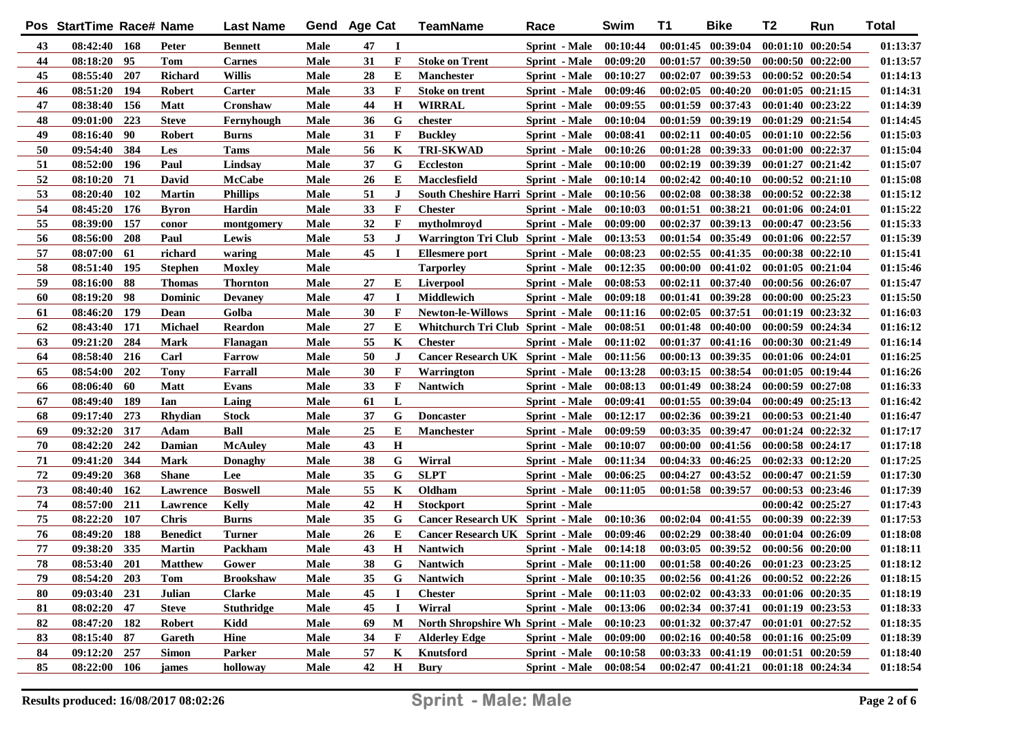|    | Pos StartTime Race# Name |            |                 | <b>Last Name</b>  |      | Gend Age Cat |             | <b>TeamName</b>                           | Race                          | Swim     | T1       | <b>Bike</b>                                 | T2                    | Run                   | <b>Total</b> |
|----|--------------------------|------------|-----------------|-------------------|------|--------------|-------------|-------------------------------------------|-------------------------------|----------|----------|---------------------------------------------|-----------------------|-----------------------|--------------|
| 43 | 08:42:40 168             |            | Peter           | <b>Bennett</b>    | Male | 47           | 1           |                                           | Sprint - Male                 | 00:10:44 |          | 00:01:45 00:39:04                           |                       | 00:01:10 00:20:54     | 01:13:37     |
| 44 | 08:18:20 95              |            | <b>Tom</b>      | <b>Carnes</b>     | Male | 31           | $\mathbf F$ | <b>Stoke on Trent</b>                     | Sprint - Male                 | 00:09:20 |          | $00:01:57$ $00:39:50$                       |                       | $00:00:50$ $00:22:00$ | 01:13:57     |
| 45 | 08:55:40                 | 207        | Richard         | <b>Willis</b>     | Male | 28           | Е           | <b>Manchester</b>                         | Sprint - Male                 | 00:10:27 |          | 00:02:07 00:39:53                           |                       | 00:00:52 00:20:54     | 01:14:13     |
| 46 | 08:51:20                 | 194        | <b>Robert</b>   | Carter            | Male | 33           | F           | <b>Stoke on trent</b>                     | Sprint - Male                 | 00:09:46 |          | $00:02:05$ $00:40:20$                       |                       | $00:01:05$ $00:21:15$ | 01:14:31     |
| 47 | 08:38:40                 | 156        | <b>Matt</b>     | Cronshaw          | Male | 44           | $\mathbf H$ | <b>WIRRAL</b>                             | Sprint - Male                 | 00:09:55 |          | 00:01:59 00:37:43                           |                       | $00:01:40$ $00:23:22$ | 01:14:39     |
| 48 | 09:01:00                 | 223        | <b>Steve</b>    | Fernyhough        | Male | 36           | G           | chester                                   | Sprint - Male                 | 00:10:04 |          | 00:01:59 00:39:19                           |                       | 00:01:29 00:21:54     | 01:14:45     |
| 49 | 08:16:40                 | - 90       | <b>Robert</b>   | <b>Burns</b>      | Male | 31           | $\mathbf F$ | <b>Buckley</b>                            | Sprint - Male                 | 00:08:41 |          | 00:02:11 00:40:05                           |                       | 00:01:10 00:22:56     | 01:15:03     |
| 50 | 09:54:40                 | 384        | Les             | Tams              | Male | 56           | K           | <b>TRI-SKWAD</b>                          | Sprint - Male                 | 00:10:26 |          | 00:01:28 00:39:33                           |                       | 00:01:00 00:22:37     | 01:15:04     |
| 51 | 08:52:00                 | 196        | Paul            | Lindsay           | Male | 37           | G           | <b>Eccleston</b>                          | Sprint - Male                 | 00:10:00 |          | 00:02:19 00:39:39                           |                       | 00:01:27 00:21:42     | 01:15:07     |
| 52 | 08:10:20                 | 71         | David           | McCabe            | Male | 26           | Е           | Macclesfield                              | Sprint - Male                 | 00:10:14 |          | $00:02:42$ $00:40:10$                       |                       | 00:00:52 00:21:10     | 01:15:08     |
| 53 | 08:20:40                 | <b>102</b> | <b>Martin</b>   | <b>Phillips</b>   | Male | 51           | J           | <b>South Cheshire Harri Sprint - Male</b> |                               | 00:10:56 |          | 00:02:08 00:38:38                           |                       | 00:00:52 00:22:38     | 01:15:12     |
| 54 | 08:45:20                 | 176        | <b>Byron</b>    | Hardin            | Male | 33           | F           | <b>Chester</b>                            | <b>Sprint</b> - Male          | 00:10:03 |          | 00:01:51 00:38:21                           |                       | 00:01:06 00:24:01     | 01:15:22     |
| 55 | 08:39:00                 | 157        | conor           | montgomery        | Male | 32           | $\mathbf F$ | mytholmroyd                               | <b>Sprint</b> - Male          | 00:09:00 |          | 00:02:37 00:39:13                           |                       | 00:00:47 00:23:56     | 01:15:33     |
| 56 | 08:56:00                 | 208        | Paul            | Lewis             | Male | 53           | J           | Warrington Tri Club Sprint - Male         |                               | 00:13:53 |          | 00:01:54 00:35:49                           |                       | 00:01:06 00:22:57     | 01:15:39     |
| 57 | 08:07:00                 | 61         | richard         | waring            | Male | 45           | $\mathbf I$ | Ellesmere port                            | Sprint - Male                 | 00:08:23 |          | 00:02:55 00:41:35                           |                       | $00:00:38$ $00:22:10$ | 01:15:41     |
| 58 | 08:51:40                 | 195        | <b>Stephen</b>  | <b>Moxley</b>     | Male |              |             | <b>Tarporley</b>                          | <b>Sprint</b> - Male          | 00:12:35 |          | $00:00:00$ $00:41:02$                       |                       | $00:01:05$ $00:21:04$ | 01:15:46     |
| 59 | 08:16:00                 | 88         | <b>Thomas</b>   | Thornton          | Male | 27           | Е           | Liverpool                                 | <b>Sprint</b> - Male          | 00:08:53 |          | $00:02:11$ $00:37:40$                       |                       | 00:00:56 00:26:07     | 01:15:47     |
| 60 | 08:19:20                 | - 98       | <b>Dominic</b>  | <b>Devaney</b>    | Male | 47           | I           | Middlewich                                | <b>Sprint</b> - Male          | 00:09:18 |          | 00:01:41 00:39:28                           |                       | 00:00:00 00:25:23     | 01:15:50     |
| 61 | 08:46:20                 | 179        | Dean            | Golba             | Male | 30           | $\mathbf F$ | <b>Newton-le-Willows</b>                  | <b>Sprint</b> - Male          | 00:11:16 |          | 00:02:05 00:37:51                           |                       | 00:01:19 00:23:32     | 01:16:03     |
| 62 | 08:43:40                 | 171        | <b>Michael</b>  | Reardon           | Male | 27           | Е           | Whitchurch Tri Club Sprint - Male         |                               | 00:08:51 |          | $00:01:48$ $00:40:00$                       |                       | 00:00:59 00:24:34     | 01:16:12     |
| 63 | 09:21:20                 | 284        | <b>Mark</b>     | Flanagan          | Male | 55           | K           | <b>Chester</b>                            | Sprint - Male                 | 00:11:02 | 00:01:37 | 00:41:16                                    |                       | 00:00:30 00:21:49     | 01:16:14     |
| 64 | 08:58:40                 | 216        | Carl            | <b>Farrow</b>     | Male | 50           | J           | <b>Cancer Research UK Sprint - Male</b>   |                               | 00:11:56 |          | 00:00:13 00:39:35                           |                       | 00:01:06 00:24:01     | 01:16:25     |
| 65 | 08:54:00                 | 202        | <b>Tony</b>     | Farrall           | Male | 30           | $\mathbf F$ | Warrington                                | <b>Sprint</b> - Male          | 00:13:28 |          | 00:03:15 00:38:54                           |                       | $00:01:05$ $00:19:44$ | 01:16:26     |
| 66 | 08:06:40                 | 60         | <b>Matt</b>     | Evans             | Male | 33           | $\mathbf F$ | <b>Nantwich</b>                           | <b>Sprint</b> - Male          | 00:08:13 |          | 00:01:49 00:38:24                           |                       | 00:00:59 00:27:08     | 01:16:33     |
| 67 | 08:49:40                 | 189        | Ian             | Laing             | Male | 61           | L           |                                           | Sprint - Male                 | 00:09:41 |          | $00:01:55$ $00:39:04$                       |                       | 00:00:49 00:25:13     | 01:16:42     |
| 68 | 09:17:40                 | 273        | Rhydian         | Stock             | Male | 37           | G           | <b>Doncaster</b>                          | Sprint - Male                 | 00:12:17 |          | 00:02:36 00:39:21                           |                       | 00:00:53 00:21:40     | 01:16:47     |
| 69 | 09:32:20                 | 317        | Adam            | Ball              | Male | 25           | Е           | <b>Manchester</b>                         | Sprint - Male                 | 00:09:59 |          | 00:03:35 00:39:47                           |                       | 00:01:24 00:22:32     | 01:17:17     |
| 70 | 08:42:20                 | 242        | Damian          | <b>McAuley</b>    | Male | 43           | $\mathbf H$ |                                           | Sprint - Male                 | 00:10:07 |          | 00:00:00 00:41:56                           |                       | 00:00:58 00:24:17     | 01:17:18     |
| 71 | 09:41:20                 | 344        | Mark            | Donaghy           | Male | 38           | G           | Wirral                                    | Sprint - Male                 | 00:11:34 |          | 00:04:33 00:46:25                           |                       | 00:02:33 00:12:20     | 01:17:25     |
| 72 | 09:49:20                 | 368        | <b>Shane</b>    | Lee               | Male | 35           | G           | <b>SLPT</b>                               | Sprint - Male                 | 00:06:25 |          | $00:04:27$ $00:43:52$                       |                       | 00:00:47 00:21:59     | 01:17:30     |
| 73 | 08:40:40                 | 162        | Lawrence        | <b>Boswell</b>    | Male | 55           | K           | Oldham                                    | Sprint - Male                 | 00:11:05 |          | 00:01:58 00:39:57                           |                       | 00:00:53 00:23:46     | 01:17:39     |
| 74 | 08:57:00                 | 211        | Lawrence        | Kelly             | Male | 42           | $\mathbf H$ | <b>Stockport</b>                          | <b>Sprint</b> - Male          |          |          |                                             |                       | 00:00:42 00:25:27     | 01:17:43     |
| 75 | 08:22:20                 | 107        | <b>Chris</b>    | Burns             | Male | 35           | G           | <b>Cancer Research UK Sprint - Male</b>   |                               | 00:10:36 |          | $00:02:04$ $00:41:55$                       |                       | 00:00:39 00:22:39     | 01:17:53     |
| 76 | 08:49:20                 | 188        | <b>Benedict</b> | Turner            | Male | 26           | Е           | <b>Cancer Research UK Sprint - Male</b>   |                               | 00:09:46 |          | $00:02:29$ $00:38:40$                       |                       | 00:01:04 00:26:09     | 01:18:08     |
| 77 | 09:38:20                 | 335        | <b>Martin</b>   | Packham           | Male | 43           | $\mathbf H$ | <b>Nantwich</b>                           | <b>Sprint</b> - Male          | 00:14:18 |          | $00:03:05$ $00:39:52$                       |                       | 00:00:56 00:20:00     | 01:18:11     |
| 78 | 08:53:40                 | <b>201</b> | <b>Matthew</b>  | Gower             | Male | 38           | G           | Nantwich                                  | <b>Sprint - Male</b> 00:11:00 |          |          | 00:01:58 00:40:26 00:01:23 00:23:25         |                       |                       | 01:18:12     |
| 79 | $08:54:20$ 203           |            | Tom             | <b>Brookshaw</b>  | Male | 35           | G           | <b>Nantwich</b>                           | Sprint - Male 00:10:35        |          |          | $00:02:56$ $00:41:26$ $00:00:52$ $00:22:26$ |                       |                       | 01:18:15     |
| 80 | 09:03:40 231             |            | Julian          | <b>Clarke</b>     | Male | 45           | 1           | <b>Chester</b>                            | <b>Sprint</b> - Male          | 00:11:03 |          | $00:02:02$ $00:43:33$                       | $00:01:06$ $00:20:35$ |                       | 01:18:19     |
| 81 | $08:02:20$ 47            |            | <b>Steve</b>    | <b>Stuthridge</b> | Male | 45           | <b>I</b>    | Wirral                                    | <b>Sprint</b> - Male          | 00:13:06 |          | $00:02:34$ $00:37:41$                       | 00:01:19 00:23:53     |                       | 01:18:33     |
| 82 | 08:47:20 182             |            | <b>Robert</b>   | Kidd              | Male | 69           | М           | North Shropshire Wh Sprint - Male         |                               | 00:10:23 |          | 00:01:32 00:37:47                           | 00:01:01 00:27:52     |                       | 01:18:35     |
| 83 | $08:15:40$ 87            |            | Gareth          | Hine              | Male | 34           | F           | <b>Alderley Edge</b>                      | <b>Sprint</b> - Male          | 00:09:00 |          | $00:02:16$ $00:40:58$                       | 00:01:16 00:25:09     |                       | 01:18:39     |
| 84 | 09:12:20 257             |            | <b>Simon</b>    | <b>Parker</b>     | Male | 57           | K           | Knutsford                                 | <b>Sprint</b> - Male          | 00:10:58 |          | 00:03:33 00:41:19 00:01:51 00:20:59         |                       |                       | 01:18:40     |
| 85 | 08:22:00 106             |            | james           | holloway          | Male | 42           | H           | Bury                                      | Sprint - Male                 | 00:08:54 |          | 00:02:47 00:41:21 00:01:18 00:24:34         |                       |                       | 01:18:54     |
|    |                          |            |                 |                   |      |              |             |                                           |                               |          |          |                                             |                       |                       |              |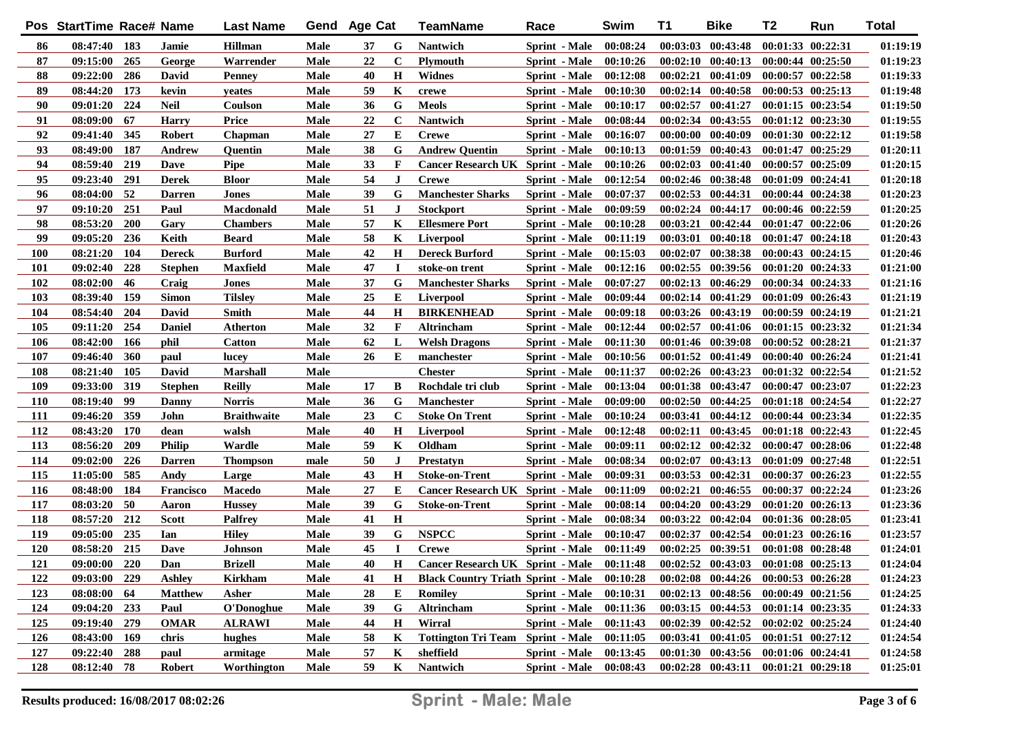|            | Pos StartTime Race# Name |     |                | <b>Last Name</b>   | Gend | <b>Age Cat</b> |              | TeamName                                  | Race                 | Swim     | T1       | <b>Bike</b>                         | T2                    | Run                   | <b>Total</b> |
|------------|--------------------------|-----|----------------|--------------------|------|----------------|--------------|-------------------------------------------|----------------------|----------|----------|-------------------------------------|-----------------------|-----------------------|--------------|
| 86         | 08:47:40 183             |     | Jamie          | <b>Hillman</b>     | Male | 37             | G            | <b>Nantwich</b>                           | Sprint - Male        | 00:08:24 |          | $00:03:03$ $00:43:48$               |                       | 00:01:33 00:22:31     | 01:19:19     |
| 87         | 09:15:00                 | 265 | George         | Warrender          | Male | 22             | $\mathbf C$  | <b>Plymouth</b>                           | Sprint - Male        | 00:10:26 |          | $00:02:10$ $00:40:13$               |                       | $00:00:44$ $00:25:50$ | 01:19:23     |
| 88         | 09:22:00                 | 286 | David          | <b>Penney</b>      | Male | 40             | $\mathbf H$  | <b>Widnes</b>                             | Sprint - Male        | 00:12:08 |          | $00:02:21$ $00:41:09$               | $00:00:57$ $00:22:58$ |                       | 01:19:33     |
| 89         | 08:44:20                 | 173 | kevin          | yeates             | Male | 59             | K            | crewe                                     | Sprint - Male        | 00:10:30 |          | 00:02:14 00:40:58                   | $00:00:53$ $00:25:13$ |                       | 01:19:48     |
| 90         | 09:01:20                 | 224 | <b>Neil</b>    | Coulson            | Male | 36             | G            | <b>Meols</b>                              | Sprint - Male        | 00:10:17 |          | 00:02:57 00:41:27                   |                       | 00:01:15 00:23:54     | 01:19:50     |
| 91         | 08:09:00                 | 67  | <b>Harry</b>   | <b>Price</b>       | Male | 22             | $\mathbf C$  | <b>Nantwich</b>                           | Sprint - Male        | 00:08:44 |          | 00:02:34 00:43:55                   |                       | 00:01:12 00:23:30     | 01:19:55     |
| 92         | 09:41:40                 | 345 | <b>Robert</b>  | Chapman            | Male | 27             | E            | <b>Crewe</b>                              | Sprint - Male        | 00:16:07 |          | $00:00:00$ $00:40:09$               |                       | 00:01:30 00:22:12     | 01:19:58     |
| 93         | 08:49:00                 | 187 | <b>Andrew</b>  | Quentin            | Male | 38             | G            | <b>Andrew Quentin</b>                     | Sprint - Male        | 00:10:13 |          | $00:01:59$ $00:40:43$               | 00:01:47 00:25:29     |                       | 01:20:11     |
| 94         | 08:59:40                 | 219 | Dave           | <b>Pipe</b>        | Male | 33             | F            | <b>Cancer Research UK Sprint - Male</b>   |                      | 00:10:26 |          | $00:02:03$ $00:41:40$               |                       | 00:00:57 00:25:09     | 01:20:15     |
| 95         | 09:23:40                 | 291 | <b>Derek</b>   | <b>Bloor</b>       | Male | 54             | $\mathbf{J}$ | <b>Crewe</b>                              | <b>Sprint</b> - Male | 00:12:54 |          | 00:02:46 00:38:48                   | 00:01:09 00:24:41     |                       | 01:20:18     |
| 96         | 08:04:00                 | 52  | <b>Darren</b>  | <b>Jones</b>       | Male | 39             | G            | <b>Manchester Sharks</b>                  | Sprint - Male        | 00:07:37 |          | $00:02:53$ $00:44:31$               | 00:00:44 00:24:38     |                       | 01:20:23     |
| 97         | 09:10:20                 | 251 | Paul           | Macdonald          | Male | 51             | J            | <b>Stockport</b>                          | Sprint - Male        | 00:09:59 |          | 00:02:24 00:44:17                   |                       | 00:00:46 00:22:59     | 01:20:25     |
| 98         | 08:53:20                 | 200 | Gary           | <b>Chambers</b>    | Male | 57             | K            | <b>Ellesmere Port</b>                     | Sprint - Male        | 00:10:28 |          | 00:03:21 00:42:44                   |                       | 00:01:47 00:22:06     | 01:20:26     |
| 99         | 09:05:20                 | 236 | Keith          | Beard              | Male | 58             | K            | <b>Liverpool</b>                          | <b>Sprint</b> - Male | 00:11:19 |          | 00:03:01 00:40:18                   |                       | 00:01:47 00:24:18     | 01:20:43     |
| 100        | 08:21:20                 | 104 | <b>Dereck</b>  | <b>Burford</b>     | Male | 42             | $\mathbf H$  | <b>Dereck Burford</b>                     | <b>Sprint</b> - Male | 00:15:03 |          | 00:02:07 00:38:38                   |                       | $00:00:43$ $00:24:15$ | 01:20:46     |
| 101        | 09:02:40                 | 228 | <b>Stephen</b> | Maxfield           | Male | 47             | $\mathbf I$  | stoke-on trent                            | Sprint - Male        | 00:12:16 |          | 00:02:55 00:39:56                   |                       | 00:01:20 00:24:33     | 01:21:00     |
| 102        | 08:02:00                 | 46  | Craig          | Jones              | Male | 37             | G            | <b>Manchester Sharks</b>                  | <b>Sprint</b> - Male | 00:07:27 |          | 00:02:13 00:46:29                   |                       | 00:00:34 00:24:33     | 01:21:16     |
| 103        | 08:39:40                 | 159 | <b>Simon</b>   | <b>Tilslev</b>     | Male | 25             | E            | <b>Liverpool</b>                          | <b>Sprint</b> - Male | 00:09:44 |          | 00:02:14 00:41:29                   |                       | 00:01:09 00:26:43     | 01:21:19     |
| 104        | 08:54:40                 | 204 | David          | Smith              | Male | 44             | $\mathbf H$  | <b>BIRKENHEAD</b>                         | <b>Sprint</b> - Male | 00:09:18 |          | 00:03:26 00:43:19                   |                       | 00:00:59 00:24:19     | 01:21:21     |
| 105        | 09:11:20                 | 254 | <b>Daniel</b>  | Atherton           | Male | 32             | $\mathbf F$  | Altrincham                                | <b>Sprint</b> - Male | 00:12:44 | 00:02:57 | 00:41:06                            |                       | $00:01:15$ $00:23:32$ | 01:21:34     |
| 106        | 08:42:00                 | 166 | phil           | <b>Catton</b>      | Male | 62             | L            | <b>Welsh Dragons</b>                      | <b>Sprint</b> - Male | 00:11:30 |          | 00:01:46 00:39:08                   | 00:00:52 00:28:21     |                       | 01:21:37     |
| 107        | 09:46:40                 | 360 | paul           | lucey              | Male | 26             | E            | manchester                                | <b>Sprint</b> - Male | 00:10:56 |          | $00:01:52$ $00:41:49$               |                       | 00:00:40 00:26:24     | 01:21:41     |
| 108        | 08:21:40                 | 105 | David          | Marshall           | Male |                |              | <b>Chester</b>                            | <b>Sprint</b> - Male | 00:11:37 |          | $00:02:26$ $00:43:23$               |                       | 00:01:32 00:22:54     | 01:21:52     |
| 109        | 09:33:00                 | 319 | <b>Stephen</b> | <b>Reilly</b>      | Male | 17             | B            | Rochdale tri club                         | <b>Sprint</b> - Male | 00:13:04 |          | $00:01:38$ $00:43:47$               |                       | 00:00:47 00:23:07     | 01:22:23     |
| <b>110</b> | 08:19:40                 | 99  | Danny          | Norris             | Male | 36             | G            | <b>Manchester</b>                         | Sprint - Male        | 00:09:00 |          | $00:02:50$ $00:44:25$               |                       | 00:01:18 00:24:54     | 01:22:27     |
| <b>111</b> | 09:46:20                 | 359 | John           | <b>Braithwaite</b> | Male | 23             | $\mathbf C$  | <b>Stoke On Trent</b>                     | Sprint - Male        | 00:10:24 |          | 00:03:41 00:44:12                   |                       | 00:00:44 00:23:34     | 01:22:35     |
| 112        | 08:43:20                 | 170 | dean           | walsh              | Male | 40             | $\mathbf H$  | <b>Liverpool</b>                          | Sprint - Male        | 00:12:48 |          | $00:02:11$ $00:43:45$               |                       | 00:01:18 00:22:43     | 01:22:45     |
| 113        | 08:56:20                 | 209 | <b>Philip</b>  | Wardle             | Male | 59             | K            | Oldham                                    | Sprint - Male        | 00:09:11 | 00:02:12 | 00:42:32                            |                       | 00:00:47 00:28:06     | 01:22:48     |
| 114        | 09:02:00                 | 226 | <b>Darren</b>  | Thompson           | male | 50             | J            | Prestatyn                                 | <b>Sprint</b> - Male | 00:08:34 | 00:02:07 | 00:43:13                            |                       | 00:01:09 00:27:48     | 01:22:51     |
| 115        | 11:05:00                 | 585 | Andy           | Large              | Male | 43             | $\mathbf H$  | <b>Stoke-on-Trent</b>                     | Sprint - Male        | 00:09:31 | 00:03:53 | 00:42:31                            |                       | 00:00:37 00:26:23     | 01:22:55     |
| 116        | 08:48:00                 | 184 | Francisco      | <b>Macedo</b>      | Male | 27             | E            | <b>Cancer Research UK Sprint - Male</b>   |                      | 00:11:09 | 00:02:21 | 00:46:55                            |                       | 00:00:37 00:22:24     | 01:23:26     |
| 117        | 08:03:20                 | 50  | Aaron          | <b>Hussey</b>      | Male | 39             | G            | <b>Stoke-on-Trent</b>                     | <b>Sprint</b> - Male | 00:08:14 |          | 00:04:20 00:43:29                   |                       | 00:01:20 00:26:13     | 01:23:36     |
| 118        | 08:57:20                 | 212 | <b>Scott</b>   | <b>Palfrey</b>     | Male | 41             | $\mathbf H$  |                                           | Sprint - Male        | 00:08:34 |          | 00:03:22 00:42:04                   |                       | 00:01:36 00:28:05     | 01:23:41     |
| 119        | 09:05:00                 | 235 | Ian            | <b>Hiley</b>       | Male | 39             | G            | <b>NSPCC</b>                              | <b>Sprint</b> - Male | 00:10:47 | 00:02:37 | 00:42:54                            |                       | 00:01:23 00:26:16     | 01:23:57     |
| 120        | 08:58:20                 | 215 | Dave           | Johnson            | Male | 45             | $\bf{I}$     | <b>Crewe</b>                              | Sprint - Male        | 00:11:49 |          | $00:02:25$ $00:39:51$               |                       | 00:01:08 00:28:48     | 01:24:01     |
| 121        | 09:00:00 220             |     | Dan            | <b>Brizell</b>     | Male | 40             | Н            | Cancer Research UK Sprint - Male          |                      | 00:11:48 |          | $00:02:52$ $00:43:03$               | $00:01:08$ $00:25:13$ |                       | 01:24:04     |
| 122        | 09:03:00 229             |     | <b>Ashley</b>  | <b>Kirkham</b>     | Male | 41             | $\mathbf H$  | <b>Black Country Triath Sprint - Male</b> |                      | 00:10:28 |          | 00:02:08 00:44:26 00:00:53 00:26:28 |                       |                       | 01:24:23     |
| 123        | 08:08:00                 | 64  | <b>Matthew</b> | Asher              | Male | 28             | Е            | Romilev                                   | <b>Sprint</b> - Male | 00:10:31 |          | $00:02:13$ $00:48:56$               |                       | 00:00:49 00:21:56     | 01:24:25     |
| 124        | 09:04:20 233             |     | Paul           | O'Donoghue         | Male | 39             | G            | Altrincham                                | <b>Sprint</b> - Male | 00:11:36 |          | $00:03:15$ $00:44:53$               | 00:01:14 00:23:35     |                       | 01:24:33     |
| 125        | 09:19:40 279             |     | <b>OMAR</b>    | <b>ALRAWI</b>      | Male | 44             | $\mathbf H$  | Wirral                                    | <b>Sprint</b> - Male | 00:11:43 |          | $00:02:39$ $00:42:52$               | $00:02:02$ $00:25:24$ |                       | 01:24:40     |
| 126        | 08:43:00 169             |     | chris          | hughes             | Male | 58             | K            | <b>Tottington Tri Team Sprint - Male</b>  |                      | 00:11:05 |          | 00:03:41 00:41:05                   | $00:01:51$ $00:27:12$ |                       | 01:24:54     |
| 127        | 09:22:40 288             |     | paul           | armitage           | Male | 57             | K            | sheffield                                 | <b>Sprint</b> - Male | 00:13:45 |          | $00:01:30$ $00:43:56$               | 00:01:06 00:24:41     |                       | 01:24:58     |
| 128        | 08:12:40 78              |     | <b>Robert</b>  | Worthington        | Male | 59             | $\mathbf K$  | Nantwich                                  | Sprint - Male        | 00:08:43 |          | $00:02:28$ $00:43:11$               | $00:01:21$ $00:29:18$ |                       | 01:25:01     |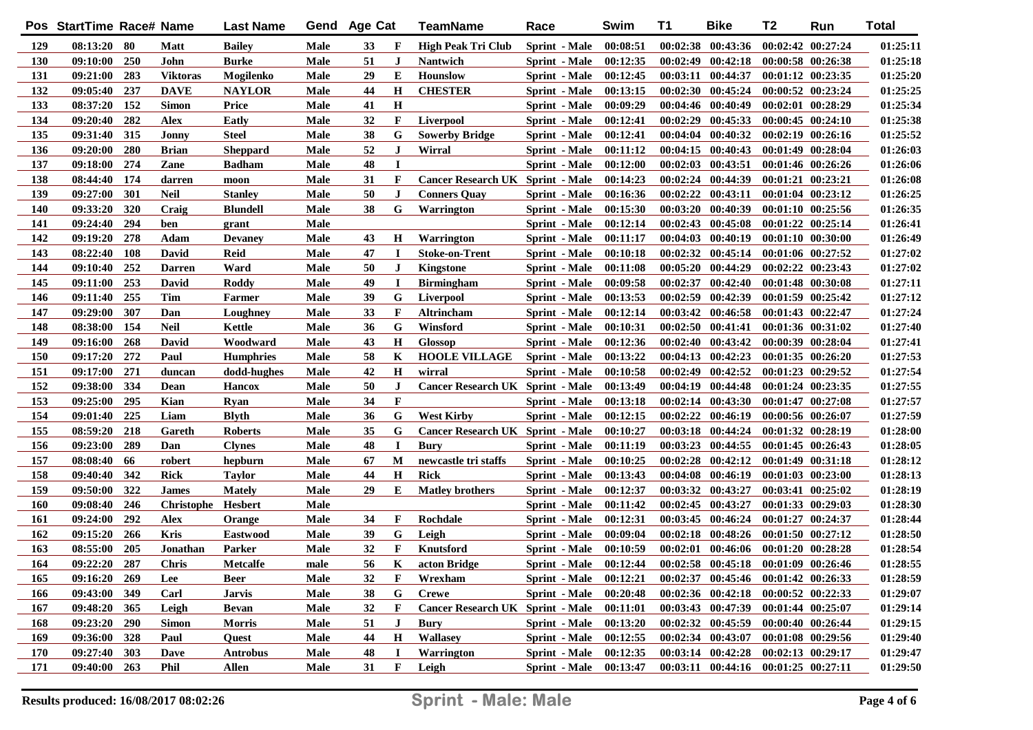|     | Pos StartTime Race# Name |     |                    | <b>Last Name</b> | Gend | Age Cat |              | TeamName                                | Race                 | Swim     | T1       | <b>Bike</b>                         | T <sub>2</sub> | Run                   | <b>Total</b> |
|-----|--------------------------|-----|--------------------|------------------|------|---------|--------------|-----------------------------------------|----------------------|----------|----------|-------------------------------------|----------------|-----------------------|--------------|
| 129 | 08:13:20 80              |     | <b>Matt</b>        | <b>Bailey</b>    | Male | 33      | F            | <b>High Peak Tri Club</b>               | Sprint - Male        | 00:08:51 |          | $00:02:38$ $00:43:36$               |                | 00:02:42 00:27:24     | 01:25:11     |
| 130 | 09:10:00                 | 250 | John               | <b>Burke</b>     | Male | 51      | $\bf J$      | <b>Nantwich</b>                         | Sprint - Male        | 00:12:35 |          | $00:02:49$ $00:42:18$               |                | 00:00:58 00:26:38     | 01:25:18     |
| 131 | 09:21:00                 | 283 | <b>Viktoras</b>    | Mogilenko        | Male | 29      | E            | Hounslow                                | Sprint - Male        | 00:12:45 |          | 00:03:11 00:44:37                   |                | $00:01:12$ $00:23:35$ | 01:25:20     |
| 132 | 09:05:40                 | 237 | <b>DAVE</b>        | <b>NAYLOR</b>    | Male | 44      | H            | <b>CHESTER</b>                          | Sprint - Male        | 00:13:15 |          | $00:02:30$ $00:45:24$               |                | $00:00:52$ $00:23:24$ | 01:25:25     |
| 133 | 08:37:20                 | 152 | <b>Simon</b>       | <b>Price</b>     | Male | 41      | H            |                                         | Sprint - Male        | 00:09:29 |          | 00:04:46 00:40:49                   |                | 00:02:01 00:28:29     | 01:25:34     |
| 134 | 09:20:40                 | 282 | <b>Alex</b>        | Eatly            | Male | 32      | F            | Liverpool                               | Sprint - Male        | 00:12:41 |          | 00:02:29 00:45:33                   |                | 00:00:45 00:24:10     | 01:25:38     |
| 135 | 09:31:40                 | 315 | Jonny              | <b>Steel</b>     | Male | 38      | G            | <b>Sowerby Bridge</b>                   | Sprint - Male        | 00:12:41 |          | $00:04:04$ $00:40:32$               |                | 00:02:19 00:26:16     | 01:25:52     |
| 136 | 09:20:00                 | 280 | <b>Brian</b>       | <b>Sheppard</b>  | Male | 52      | $\bf J$      | Wirral                                  | Sprint - Male        | 00:11:12 |          | $00:04:15$ $00:40:43$               |                | 00:01:49 00:28:04     | 01:26:03     |
| 137 | 09:18:00                 | 274 | Zane               | <b>Badham</b>    | Male | 48      | I            |                                         | Sprint - Male        | 00:12:00 |          | $00:02:03$ $00:43:51$               |                | 00:01:46 00:26:26     | 01:26:06     |
| 138 | 08:44:40                 | 174 | darren             | moon             | Male | 31      | F            | <b>Cancer Research UK Sprint - Male</b> |                      | 00:14:23 |          | 00:02:24 00:44:39                   |                | 00:01:21 00:23:21     | 01:26:08     |
| 139 | 09:27:00                 | 301 | <b>Neil</b>        | <b>Stanley</b>   | Male | 50      | $\mathbf{J}$ | <b>Conners Quay</b>                     | Sprint - Male        | 00:16:36 |          | 00:02:22 00:43:11                   |                | 00:01:04 00:23:12     | 01:26:25     |
| 140 | 09:33:20                 | 320 | Craig              | <b>Blundell</b>  | Male | 38      | G            | <b>Warrington</b>                       | Sprint - Male        | 00:15:30 |          | 00:03:20 00:40:39                   |                | 00:01:10 00:25:56     | 01:26:35     |
| 141 | 09:24:40                 | 294 | ben                | grant            | Male |         |              |                                         | <b>Sprint</b> - Male | 00:12:14 |          | 00:02:43 00:45:08                   |                | 00:01:22 00:25:14     | 01:26:41     |
| 142 | 09:19:20                 | 278 | Adam               | <b>Devaney</b>   | Male | 43      | $\mathbf H$  | Warrington                              | <b>Sprint</b> - Male | 00:11:17 |          | 00:04:03 00:40:19                   |                | 00:01:10 00:30:00     | 01:26:49     |
| 143 | 08:22:40                 | 108 | <b>David</b>       | Reid             | Male | 47      | I            | <b>Stoke-on-Trent</b>                   | <b>Sprint</b> - Male | 00:10:18 |          | 00:02:32 00:45:14                   |                | 00:01:06 00:27:52     | 01:27:02     |
| 144 | 09:10:40                 | 252 | <b>Darren</b>      | Ward             | Male | 50      | J            | <b>Kingstone</b>                        | <b>Sprint</b> - Male | 00:11:08 |          | 00:05:20 00:44:29                   |                | 00:02:22 00:23:43     | 01:27:02     |
| 145 | 09:11:00                 | 253 | David              | <b>Roddy</b>     | Male | 49      | I            | <b>Birmingham</b>                       | <b>Sprint</b> - Male | 00:09:58 |          | 00:02:37 00:42:40                   |                | 00:01:48 00:30:08     | 01:27:11     |
| 146 | 09:11:40                 | 255 | <b>Tim</b>         | Farmer           | Male | 39      | G            | <b>Liverpool</b>                        | <b>Sprint</b> - Male | 00:13:53 |          | 00:02:59 00:42:39                   |                | 00:01:59 00:25:42     | 01:27:12     |
| 147 | 09:29:00                 | 307 | Dan                | Loughney         | Male | 33      | F            | Altrincham                              | <b>Sprint</b> - Male | 00:12:14 |          | 00:03:42 00:46:58                   |                | 00:01:43 00:22:47     | 01:27:24     |
| 148 | 08:38:00                 | 154 | <b>Neil</b>        | Kettle           | Male | 36      | G            | Winsford                                | <b>Sprint</b> - Male | 00:10:31 |          | 00:02:50 00:41:41                   |                | 00:01:36 00:31:02     | 01:27:40     |
| 149 | 09:16:00                 | 268 | David              | Woodward         | Male | 43      | $\mathbf H$  | <b>Glossop</b>                          | <b>Sprint</b> - Male | 00:12:36 |          | $00:02:40$ $00:43:42$               |                | 00:00:39 00:28:04     | 01:27:41     |
| 150 | 09:17:20                 | 272 | Paul               | <b>Humphries</b> | Male | 58      | K            | <b>HOOLE VILLAGE</b>                    | <b>Sprint</b> - Male | 00:13:22 |          | 00:04:13 00:42:23                   |                | $00:01:35$ $00:26:20$ | 01:27:53     |
| 151 | 09:17:00                 | 271 | duncan             | dodd-hughes      | Male | 42      | $\mathbf H$  | wirral                                  | <b>Sprint</b> - Male | 00:10:58 | 00:02:49 | 00:42:52                            |                | $00:01:23$ $00:29:52$ | 01:27:54     |
| 152 | 09:38:00                 | 334 | Dean               | <b>Hancox</b>    | Male | 50      | J            | <b>Cancer Research UK Sprint - Male</b> |                      | 00:13:49 |          | $00:04:19$ $00:44:48$               |                | 00:01:24 00:23:35     | 01:27:55     |
| 153 | 09:25:00                 | 295 | Kian               | <b>Ryan</b>      | Male | 34      | $\mathbf F$  |                                         | Sprint - Male        | 00:13:18 |          | $00:02:14$ $00:43:30$               |                | 00:01:47 00:27:08     | 01:27:57     |
| 154 | 09:01:40                 | 225 | Liam               | Blyth            | Male | 36      | G            | <b>West Kirby</b>                       | Sprint - Male        | 00:12:15 | 00:02:22 | 00:46:19                            |                | 00:00:56 00:26:07     | 01:27:59     |
| 155 | 08:59:20                 | 218 | Gareth             | <b>Roberts</b>   | Male | 35      | G            | <b>Cancer Research UK Sprint - Male</b> |                      | 00:10:27 |          | 00:03:18 00:44:24                   |                | 00:01:32 00:28:19     | 01:28:00     |
| 156 | 09:23:00                 | 289 | Dan                | <b>Clynes</b>    | Male | 48      | $\bf{I}$     | Bury                                    | <b>Sprint</b> - Male | 00:11:19 |          | $00:03:23$ $00:44:55$               |                | $00:01:45$ $00:26:43$ | 01:28:05     |
| 157 | 08:08:40                 | 66  | robert             | hepburn          | Male | 67      | M            | newcastle tri staffs                    | <b>Sprint</b> - Male | 00:10:25 |          | $00:02:28$ $00:42:12$               |                | 00:01:49 00:31:18     | 01:28:12     |
| 158 | 09:40:40                 | 342 | <b>Rick</b>        | <b>Taylor</b>    | Male | 44      | H            | <b>Rick</b>                             | <b>Sprint</b> - Male | 00:13:43 | 00:04:08 | 00:46:19                            |                | 00:01:03 00:23:00     | 01:28:13     |
| 159 | 09:50:00                 | 322 | <b>James</b>       | <b>Mately</b>    | Male | 29      | E            | <b>Matley brothers</b>                  | Sprint - Male        | 00:12:37 |          | 00:03:32 00:43:27                   |                | 00:03:41 00:25:02     | 01:28:19     |
| 160 | 09:08:40                 | 246 | Christophe Hesbert |                  | Male |         |              |                                         | <b>Sprint</b> - Male | 00:11:42 |          | 00:02:45 00:43:27                   |                | 00:01:33 00:29:03     | 01:28:30     |
| 161 | 09:24:00                 | 292 | <b>Alex</b>        | Orange           | Male | 34      | $\mathbf F$  | Rochdale                                | Sprint - Male        | 00:12:31 |          | $00:03:45$ $00:46:24$               |                | 00:01:27 00:24:37     | 01:28:44     |
| 162 | 09:15:20                 | 266 | Kris               | <b>Eastwood</b>  | Male | 39      | G            | Leigh                                   | Sprint - Male        | 00:09:04 |          | 00:02:18 00:48:26                   |                | 00:01:50 00:27:12     | 01:28:50     |
| 163 | 08:55:00                 | 205 | Jonathan           | Parker           | Male | 32      | F            | Knutsford                               | Sprint - Male        | 00:10:59 |          | 00:02:01 00:46:06                   |                | $00:01:20$ $00:28:28$ | 01:28:54     |
| 164 | 09:22:20                 | 287 | <b>Chris</b>       | <b>Metcalfe</b>  | male | 56      | K            | acton Bridge                            | <b>Sprint</b> - Male | 00:12:44 |          | $00:02:58$ $00:45:18$               |                | $00:01:09$ $00:26:46$ | 01:28:55     |
| 165 | 09:16:20 269             |     | Lee                | <b>Beer</b>      | Male | 32      | F            | Wrexham                                 | Sprint - Male        | 00:12:21 |          | 00:02:37 00:45:46 00:01:42 00:26:33 |                |                       | 01:28:59     |
| 166 | 09:43:00                 | 349 | Carl               | Jarvis           | Male | 38      | G            | <b>Crewe</b>                            | Sprint - Male        | 00:20:48 |          | $00:02:36$ $00:42:18$               |                | $00:00:52$ $00:22:33$ | 01:29:07     |
| 167 | 09:48:20 365             |     | Leigh              | <b>Bevan</b>     | Male | 32      | F            | <b>Cancer Research UK Sprint - Male</b> |                      | 00:11:01 |          | 00:03:43 00:47:39                   |                | $00:01:44$ $00:25:07$ | 01:29:14     |
| 168 | 09:23:20                 | 290 | <b>Simon</b>       | <b>Morris</b>    | Male | 51      | J            | Bury                                    | Sprint - Male        | 00:13:20 |          | 00:02:32 00:45:59                   |                | $00:00:40$ $00:26:44$ | 01:29:15     |
| 169 | 09:36:00 328             |     | Paul               | Quest            | Male | 44      | H            | <b>Wallasey</b>                         | <b>Sprint</b> - Male | 00:12:55 |          | 00:02:34 00:43:07                   |                | 00:01:08 00:29:56     | 01:29:40     |
| 170 | 09:27:40                 | 303 | Dave               | <b>Antrobus</b>  | Male | 48      | 1            | Warrington                              | <b>Sprint</b> - Male | 00:12:35 |          | $00:03:14$ $00:42:28$               |                | $00:02:13$ $00:29:17$ | 01:29:47     |
| 171 | 09:40:00 263             |     | Phil               | Allen            | Male | 31      | F            | Leigh                                   | Sprint - Male        | 00:13:47 |          | 00:03:11 00:44:16 00:01:25 00:27:11 |                |                       | 01:29:50     |
|     |                          |     |                    |                  |      |         |              |                                         |                      |          |          |                                     |                |                       |              |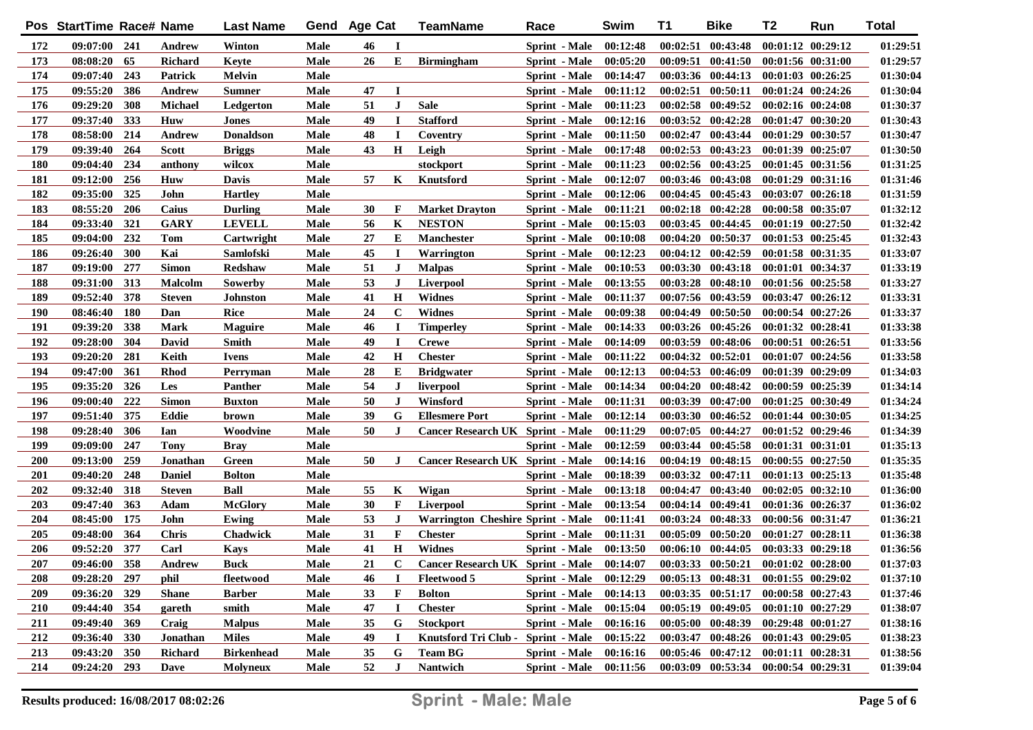|            | Pos StartTime Race# Name |            |                | <b>Last Name</b>  | Gend        | <b>Age Cat</b> |             | TeamName                                | Race                 | Swim     | T1       | <b>Bike</b>                                 | T2                | Run                   | <b>Total</b> |
|------------|--------------------------|------------|----------------|-------------------|-------------|----------------|-------------|-----------------------------------------|----------------------|----------|----------|---------------------------------------------|-------------------|-----------------------|--------------|
| 172        | 09:07:00 241             |            | Andrew         | Winton            | Male        | 46             | <b>I</b>    |                                         | Sprint - Male        | 00:12:48 |          | $00:02:51$ $00:43:48$                       |                   | 00:01:12 00:29:12     | 01:29:51     |
| 173        | 08:08:20                 | 65         | <b>Richard</b> | Keyte             | Male        | 26             | E           | <b>Birmingham</b>                       | Sprint - Male        | 00:05:20 |          | $00:09:51$ $00:41:50$                       |                   | 00:01:56 00:31:00     | 01:29:57     |
| 174        | 09:07:40                 | 243        | Patrick        | Melvin            | Male        |                |             |                                         | Sprint - Male        | 00:14:47 |          | 00:03:36 00:44:13                           |                   | $00:01:03$ $00:26:25$ | 01:30:04     |
| 175        | 09:55:20                 | 386        | <b>Andrew</b>  | <b>Sumner</b>     | Male        | 47             | $\bf{I}$    |                                         | Sprint - Male        | 00:11:12 |          | 00:02:51 00:50:11                           |                   | $00:01:24$ $00:24:26$ | 01:30:04     |
| 176        | 09:29:20                 | 308        | <b>Michael</b> | Ledgerton         | Male        | 51             | J           | <b>Sale</b>                             | Sprint - Male        | 00:11:23 |          | 00:02:58 00:49:52                           |                   | 00:02:16 00:24:08     | 01:30:37     |
| 177        | 09:37:40                 | 333        | <b>Huw</b>     | Jones             | Male        | 49             | $\mathbf I$ | <b>Stafford</b>                         | Sprint - Male        | 00:12:16 |          | 00:03:52 00:42:28                           |                   | 00:01:47 00:30:20     | 01:30:43     |
| 178        | 08:58:00                 | 214        | Andrew         | <b>Donaldson</b>  | Male        | 48             | $\mathbf I$ | Coventry                                | Sprint - Male        | 00:11:50 |          | 00:02:47 00:43:44                           |                   | 00:01:29 00:30:57     | 01:30:47     |
| 179        | 09:39:40                 | 264        | <b>Scott</b>   | <b>Briggs</b>     | Male        | 43             | $\mathbf H$ | Leigh                                   | Sprint - Male        | 00:17:48 |          | 00:02:53 00:43:23                           |                   | 00:01:39 00:25:07     | 01:30:50     |
| 180        | 09:04:40                 | 234        | anthony        | wilcox            | Male        |                |             | stockport                               | <b>Sprint</b> - Male | 00:11:23 |          | 00:02:56 00:43:25                           |                   | 00:01:45 00:31:56     | 01:31:25     |
| 181        | 09:12:00                 | 256        | <b>Huw</b>     | Davis             | Male        | 57             | K           | Knutsford                               | Sprint - Male        | 00:12:07 |          | 00:03:46 00:43:08                           |                   | 00:01:29 00:31:16     | 01:31:46     |
| 182        | 09:35:00                 | 325        | John           | <b>Hartley</b>    | <b>Male</b> |                |             |                                         | Sprint - Male        | 00:12:06 |          | 00:04:45 00:45:43                           |                   | 00:03:07 00:26:18     | 01:31:59     |
| 183        | 08:55:20                 | 206        | Caius          | <b>Durling</b>    | Male        | 30             | F           | <b>Market Drayton</b>                   | Sprint - Male        | 00:11:21 |          | $00:02:18$ $00:42:28$                       |                   | 00:00:58 00:35:07     | 01:32:12     |
| 184        | 09:33:40                 | 321        | <b>GARY</b>    | <b>LEVELL</b>     | Male        | 56             | K           | <b>NESTON</b>                           | <b>Sprint</b> - Male | 00:15:03 |          | 00:03:45 00:44:45                           |                   | $00:01:19$ $00:27:50$ | 01:32:42     |
| 185        | 09:04:00                 | 232        | <b>Tom</b>     | Cartwright        | Male        | 27             | Е           | <b>Manchester</b>                       | <b>Sprint</b> - Male | 00:10:08 |          | 00:04:20 00:50:37                           |                   | 00:01:53 00:25:45     | 01:32:43     |
| 186        | 09:26:40                 | 300        | Kai            | Samlofski         | Male        | 45             | I           | <b>Warrington</b>                       | <b>Sprint</b> - Male | 00:12:23 |          | 00:04:12 00:42:59                           |                   | 00:01:58 00:31:35     | 01:33:07     |
| 187        | 09:19:00                 | 277        | <b>Simon</b>   | <b>Redshaw</b>    | Male        | 51             | J           | <b>Malpas</b>                           | Sprint - Male        | 00:10:53 |          | 00:03:30 00:43:18                           |                   | 00:01:01 00:34:37     | 01:33:19     |
| 188        | 09:31:00                 | 313        | <b>Malcolm</b> | Sowerby           | Male        | 53             | J           | <b>Liverpool</b>                        | <b>Sprint</b> - Male | 00:13:55 |          | 00:03:28 00:48:10                           |                   | 00:01:56 00:25:58     | 01:33:27     |
| 189        | 09:52:40                 | 378        | <b>Steven</b>  | Johnston          | Male        | 41             | $\mathbf H$ | <b>Widnes</b>                           | <b>Sprint</b> - Male | 00:11:37 |          | 00:07:56 00:43:59                           |                   | 00:03:47 00:26:12     | 01:33:31     |
| <b>190</b> | 08:46:40                 | 180        | Dan            | Rice              | Male        | 24             | $\mathbf C$ | <b>Widnes</b>                           | <b>Sprint</b> - Male | 00:09:38 |          | 00:04:49 00:50:50                           |                   | 00:00:54 00:27:26     | 01:33:37     |
| 191        | 09:39:20                 | 338        | <b>Mark</b>    | <b>Maguire</b>    | Male        | 46             | I           | <b>Timperley</b>                        | <b>Sprint</b> - Male | 00:14:33 |          | $00:03:26$ $00:45:26$                       |                   | 00:01:32 00:28:41     | 01:33:38     |
| 192        | 09:28:00                 | 304        | David          | Smith             | Male        | 49             | $\mathbf I$ | <b>Crewe</b>                            | <b>Sprint</b> - Male | 00:14:09 |          | 00:03:59 00:48:06                           |                   | 00:00:51 00:26:51     | 01:33:56     |
| 193        | 09:20:20                 | 281        | Keith          | Ivens             | Male        | 42             | $\mathbf H$ | <b>Chester</b>                          | <b>Sprint</b> - Male | 00:11:22 |          | $00:04:32$ $00:52:01$                       |                   | 00:01:07 00:24:56     | 01:33:58     |
| 194        | 09:47:00                 | 361        | <b>Rhod</b>    | Perryman          | Male        | 28             | Е           | <b>Bridgwater</b>                       | <b>Sprint</b> - Male | 00:12:13 |          | 00:04:53 00:46:09                           |                   | 00:01:39 00:29:09     | 01:34:03     |
| 195        | 09:35:20                 | 326        | Les            | <b>Panther</b>    | Male        | 54             | J           | liverpool                               | <b>Sprint</b> - Male | 00:14:34 |          | $00:04:20$ $00:48:42$                       |                   | 00:00:59 00:25:39     | 01:34:14     |
| 196        | 09:00:40                 | 222        | <b>Simon</b>   | Buxton            | Male        | 50             | J           | Winsford                                | <b>Sprint</b> - Male | 00:11:31 |          | 00:03:39 00:47:00                           |                   | 00:01:25 00:30:49     | 01:34:24     |
| 197        | 09:51:40                 | 375        | Eddie          | brown             | Male        | 39             | G           | <b>Ellesmere Port</b>                   | <b>Sprint</b> - Male | 00:12:14 |          | 00:03:30 00:46:52                           |                   | 00:01:44 00:30:05     | 01:34:25     |
| 198        | 09:28:40                 | 306        | Ian            | Woodvine          | Male        | 50             | J           | <b>Cancer Research UK Sprint - Male</b> |                      | 00:11:29 |          | $00:07:05$ $00:44:27$                       |                   | 00:01:52 00:29:46     | 01:34:39     |
| 199        | 09:09:00                 | 247        | Tony           | Bray              | Male        |                |             |                                         | <b>Sprint</b> - Male | 00:12:59 |          | 00:03:44 00:45:58                           |                   | 00:01:31 00:31:01     | 01:35:13     |
| 200        | 09:13:00                 | 259        | Jonathan       | Green             | Male        | 50             | J           | <b>Cancer Research UK Sprint - Male</b> |                      | 00:14:16 |          | 00:04:19 00:48:15                           |                   | $00:00:55$ $00:27:50$ | 01:35:35     |
| 201        | 09:40:20                 | 248        | <b>Daniel</b>  | <b>Bolton</b>     | Male        |                |             |                                         | <b>Sprint</b> - Male | 00:18:39 | 00:03:32 | 00:47:11                                    |                   | $00:01:13$ $00:25:13$ | 01:35:48     |
| 202        | 09:32:40                 | 318        | <b>Steven</b>  | <b>Ball</b>       | Male        | 55             | K           | Wigan                                   | Sprint - Male        | 00:13:18 | 00:04:47 | 00:43:40                                    |                   | $00:02:05$ $00:32:10$ | 01:36:00     |
| 203        | 09:47:40                 | 363        | Adam           | <b>McGlory</b>    | Male        | 30             | F           | <b>Liverpool</b>                        | Sprint - Male        | 00:13:54 |          | 00:04:14 00:49:41                           |                   | 00:01:36 00:26:37     | 01:36:02     |
| 204        | 08:45:00                 | 175        | John           | Ewing             | Male        | 53             | J           | Warrington Cheshire Sprint - Male       |                      | 00:11:41 |          | 00:03:24 00:48:33                           |                   | 00:00:56 00:31:47     | 01:36:21     |
| 205        | 09:48:00                 | 364        | <b>Chris</b>   | <b>Chadwick</b>   | Male        | 31             | $\mathbf F$ | <b>Chester</b>                          | Sprint - Male        | 00:11:31 |          | 00:05:09 00:50:20                           |                   | 00:01:27 00:28:11     | 01:36:38     |
| 206        | 09:52:20                 | 377        | Carl           | <b>Kays</b>       | Male        | 41             | H           | <b>Widnes</b>                           | Sprint - Male        | 00:13:50 |          | $00:06:10$ $00:44:05$                       |                   | 00:03:33 00:29:18     | 01:36:56     |
| 207        | 09:46:00                 | 358        | Andrew         | Buck              | Male        | 21             | $\mathbf C$ | Cancer Research UK Sprint - Male        |                      | 00:14:07 |          | 00:03:33 00:50:21                           |                   | $00:01:02$ $00:28:00$ | 01:37:03     |
| 208        | 09:28:20 297             |            | phil           | fleetwood         | Male        | 46             | п           | <b>Fleetwood 5</b>                      | Sprint - Male        | 00:12:29 |          | $00:05:13$ $00:48:31$ $00:01:55$ $00:29:02$ |                   |                       | 01:37:10     |
| 209        | 09:36:20                 | 329        | <b>Shane</b>   | <b>Barber</b>     | Male        | 33             | F           | <b>Bolton</b>                           | Sprint - Male        | 00:14:13 |          | $00:03:35$ $00:51:17$                       |                   | $00:00:58$ $00:27:43$ | 01:37:46     |
| 210        | 09:44:40 354             |            | gareth         | smith             | Male        | 47             | I           | <b>Chester</b>                          | Sprint - Male        | 00:15:04 |          | $00:05:19$ $00:49:05$                       |                   | 00:01:10 00:27:29     | 01:38:07     |
| 211        | 09:49:40 369             |            | Craig          | <b>Malpus</b>     | Male        | 35             | G           | <b>Stockport</b>                        | Sprint - Male        | 00:16:16 |          | 00:05:00 00:48:39                           |                   | 00:29:48 00:01:27     | 01:38:16     |
| 212        | 09:36:40                 | <b>330</b> | Jonathan       | <b>Miles</b>      | Male        | 49             | I           | Knutsford Tri Club -                    | <b>Sprint</b> - Male | 00:15:22 |          | $00:03:47$ $00:48:26$                       |                   | $00:01:43$ $00:29:05$ | 01:38:23     |
| 213        | 09:43:20                 | 350        | <b>Richard</b> | <b>Birkenhead</b> | Male        | 35             | G           | <b>Team BG</b>                          | Sprint - Male        | 00:16:16 |          | $00:05:46$ $00:47:12$                       |                   | 00:01:11 00:28:31     | 01:38:56     |
| 214        | 09:24:20 293             |            | Dave           | <b>Molyneux</b>   | Male        | 52             | ${\bf J}$   | Nantwich                                | Sprint - Male        | 00:11:56 |          | $00:03:09$ $00:53:34$                       | 00:00:54 00:29:31 |                       | 01:39:04     |